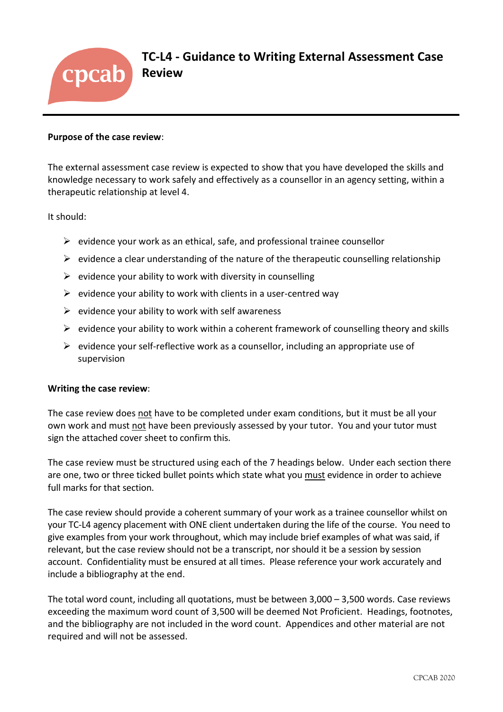

**TC-L4 - Guidance to Writing External Assessment Case Review** 

#### **Purpose of the case review**:

The external assessment case review is expected to show that you have developed the skills and knowledge necessary to work safely and effectively as a counsellor in an agency setting, within a therapeutic relationship at level 4.

It should:

- $\triangleright$  evidence your work as an ethical, safe, and professional trainee counsellor
- $\triangleright$  evidence a clear understanding of the nature of the therapeutic counselling relationship
- $\triangleright$  evidence your ability to work with diversity in counselling
- $\triangleright$  evidence your ability to work with clients in a user-centred way
- $\triangleright$  evidence your ability to work with self awareness
- $\triangleright$  evidence your ability to work within a coherent framework of counselling theory and skills
- $\triangleright$  evidence your self-reflective work as a counsellor, including an appropriate use of supervision

### **Writing the case review**:

The case review does not have to be completed under exam conditions, but it must be all your own work and must not have been previously assessed by your tutor. You and your tutor must sign the attached cover sheet to confirm this.

The case review must be structured using each of the 7 headings below. Under each section there are one, two or three ticked bullet points which state what you must evidence in order to achieve full marks for that section.

The case review should provide a coherent summary of your work as a trainee counsellor whilst on your TC-L4 agency placement with ONE client undertaken during the life of the course. You need to give examples from your work throughout, which may include brief examples of what was said, if relevant, but the case review should not be a transcript, nor should it be a session by session account. Confidentiality must be ensured at all times. Please reference your work accurately and include a bibliography at the end.

The total word count, including all quotations, must be between 3,000 – 3,500 words. Case reviews exceeding the maximum word count of 3,500 will be deemed Not Proficient. Headings, footnotes, and the bibliography are not included in the word count. Appendices and other material are not required and will not be assessed.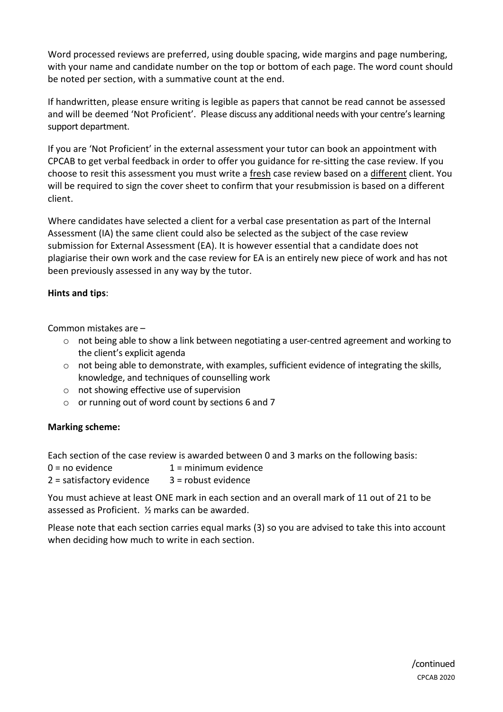Word processed reviews are preferred, using double spacing, wide margins and page numbering, with your name and candidate number on the top or bottom of each page. The word count should be noted per section, with a summative count at the end.

If handwritten, please ensure writing is legible as papers that cannot be read cannot be assessed and will be deemed 'Not Proficient'. Please discuss any additional needs with your centre's learning support department.

If you are 'Not Proficient' in the external assessment your tutor can book an appointment with CPCAB to get verbal feedback in order to offer you guidance for re-sitting the case review. If you choose to resit this assessment you must write a fresh case review based on a different client. You will be required to sign the cover sheet to confirm that your resubmission is based on a different client.

Where candidates have selected a client for a verbal case presentation as part of the Internal Assessment (IA) the same client could also be selected as the subject of the case review submission for External Assessment (EA). It is however essential that a candidate does not plagiarise their own work and the case review for EA is an entirely new piece of work and has not been previously assessed in any way by the tutor.

# **Hints and tips**:

Common mistakes are –

- $\circ$  not being able to show a link between negotiating a user-centred agreement and working to the client's explicit agenda
- $\circ$  not being able to demonstrate, with examples, sufficient evidence of integrating the skills, knowledge, and techniques of counselling work
- o not showing effective use of supervision
- $\circ$  or running out of word count by sections 6 and 7

# **Marking scheme:**

Each section of the case review is awarded between 0 and 3 marks on the following basis:

| $0 = no$ evidence           | $1 =$ minimum evidence |
|-----------------------------|------------------------|
| $2 =$ satisfactory evidence | $3 =$ robust evidence  |

You must achieve at least ONE mark in each section and an overall mark of 11 out of 21 to be assessed as Proficient. ½ marks can be awarded.

Please note that each section carries equal marks (3) so you are advised to take this into account when deciding how much to write in each section.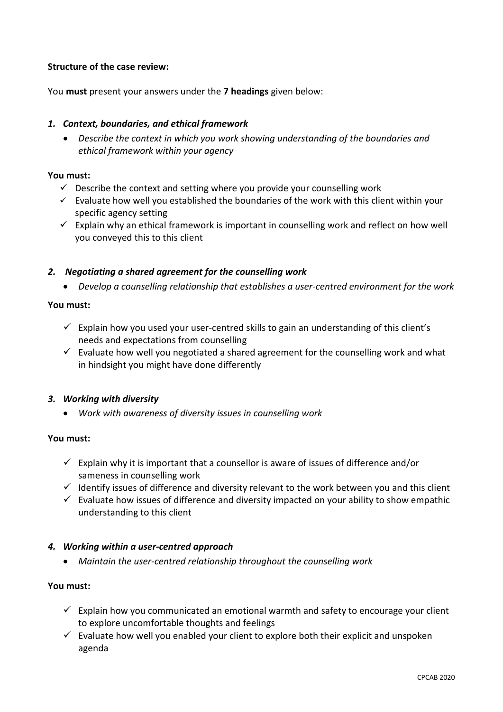## **Structure of the case review:**

You **must** present your answers under the **7 headings** given below:

## *1. Context, boundaries, and ethical framework*

• *Describe the context in which you work showing understanding of the boundaries and ethical framework within your agency*

#### **You must:**

- $\checkmark$  Describe the context and setting where you provide your counselling work
- $\checkmark$  Evaluate how well you established the boundaries of the work with this client within your specific agency setting
- $\checkmark$  Explain why an ethical framework is important in counselling work and reflect on how well you conveyed this to this client

## *2. Negotiating a shared agreement for the counselling work*

• *Develop a counselling relationship that establishes a user-centred environment for the work*

#### **You must:**

- $\checkmark$  Explain how you used your user-centred skills to gain an understanding of this client's needs and expectations from counselling
- $\checkmark$  Evaluate how well you negotiated a shared agreement for the counselling work and what in hindsight you might have done differently

### *3. Working with diversity*

• *Work with awareness of diversity issues in counselling work*

### **You must:**

- $\checkmark$  Explain why it is important that a counsellor is aware of issues of difference and/or sameness in counselling work
- ✓ Identify issues of difference and diversity relevant to the work between you and this client
- $\checkmark$  Evaluate how issues of difference and diversity impacted on your ability to show empathic understanding to this client

### *4. Working within a user-centred approach*

• *Maintain the user-centred relationship throughout the counselling work* 

### **You must:**

- $\checkmark$  Explain how you communicated an emotional warmth and safety to encourage your client to explore uncomfortable thoughts and feelings
- $\checkmark$  Evaluate how well you enabled your client to explore both their explicit and unspoken agenda